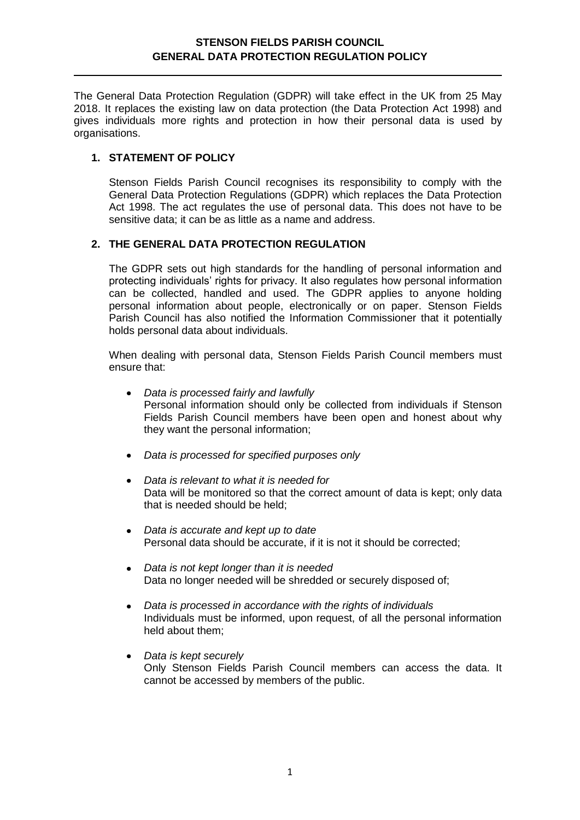The General Data Protection Regulation (GDPR) will take effect in the UK from 25 May 2018. It replaces the existing law on data protection (the Data Protection Act 1998) and gives individuals more rights and protection in how their personal data is used by organisations.

## **1. STATEMENT OF POLICY**

Stenson Fields Parish Council recognises its responsibility to comply with the General Data Protection Regulations (GDPR) which replaces the Data Protection Act 1998. The act regulates the use of personal data. This does not have to be sensitive data; it can be as little as a name and address.

### **2. THE GENERAL DATA PROTECTION REGULATION**

The GDPR sets out high standards for the handling of personal information and protecting individuals' rights for privacy. It also regulates how personal information can be collected, handled and used. The GDPR applies to anyone holding personal information about people, electronically or on paper. Stenson Fields Parish Council has also notified the Information Commissioner that it potentially holds personal data about individuals.

When dealing with personal data, Stenson Fields Parish Council members must ensure that:

- *Data is processed fairly and lawfully*   $\bullet$ Personal information should only be collected from individuals if Stenson Fields Parish Council members have been open and honest about why they want the personal information;
- *Data is processed for specified purposes only*   $\bullet$
- *Data is relevant to what it is needed for*  Data will be monitored so that the correct amount of data is kept; only data that is needed should be held;
- *Data is accurate and kept up to date*  Personal data should be accurate, if it is not it should be corrected;
- *Data is not kept longer than it is needed*  Data no longer needed will be shredded or securely disposed of;
- *Data is processed in accordance with the rights of individuals*   $\bullet$ Individuals must be informed, upon request, of all the personal information held about them;
- *Data is kept securely*  Only Stenson Fields Parish Council members can access the data. It cannot be accessed by members of the public.